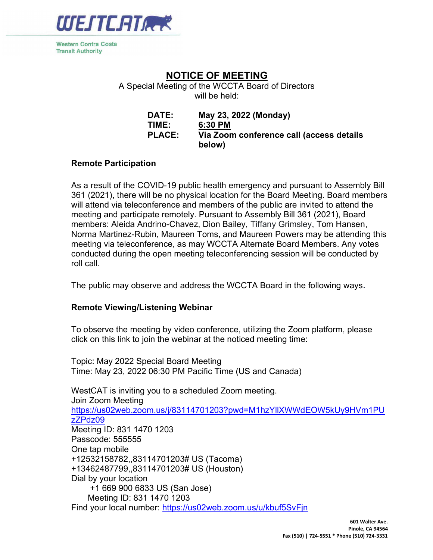

**Western Contra Costa Transit Authority** 

# NOTICE OF MEETING

A Special Meeting of the WCCTA Board of Directors will be held:

| DATE:         | May 23, 2022 (Monday)                              |
|---------------|----------------------------------------------------|
| TIME:         | 6:30 PM                                            |
| <b>PLACE:</b> | Via Zoom conference call (access details<br>below) |

#### Remote Participation

As a result of the COVID-19 public health emergency and pursuant to Assembly Bill 361 (2021), there will be no physical location for the Board Meeting. Board members will attend via teleconference and members of the public are invited to attend the meeting and participate remotely. Pursuant to Assembly Bill 361 (2021), Board members: Aleida Andrino-Chavez, Dion Bailey, Tiffany Grimsley, Tom Hansen, Norma Martinez-Rubin, Maureen Toms, and Maureen Powers may be attending this meeting via teleconference, as may WCCTA Alternate Board Members. Any votes conducted during the open meeting teleconferencing session will be conducted by roll call.

The public may observe and address the WCCTA Board in the following ways.

#### Remote Viewing/Listening Webinar

To observe the meeting by video conference, utilizing the Zoom platform, please click on this link to join the webinar at the noticed meeting time:

Topic: May 2022 Special Board Meeting Time: May 23, 2022 06:30 PM Pacific Time (US and Canada)

WestCAT is inviting you to a scheduled Zoom meeting. Join Zoom Meeting https://us02web.zoom.us/j/83114701203?pwd=M1hzYllXWWdEOW5kUy9HVm1PU zZPdz09 Meeting ID: 831 1470 1203 Passcode: 555555 One tap mobile +12532158782,,83114701203# US (Tacoma) +13462487799,,83114701203# US (Houston) Dial by your location +1 669 900 6833 US (San Jose) Meeting ID: 831 1470 1203 Find your local number: https://us02web.zoom.us/u/kbuf5SvFjn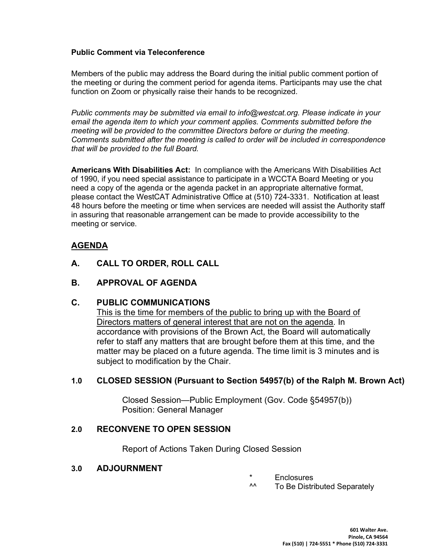#### Public Comment via Teleconference

Members of the public may address the Board during the initial public comment portion of the meeting or during the comment period for agenda items. Participants may use the chat function on Zoom or physically raise their hands to be recognized.

Public comments may be submitted via email to info@westcat.org. Please indicate in your email the agenda item to which your comment applies. Comments submitted before the meeting will be provided to the committee Directors before or during the meeting. Comments submitted after the meeting is called to order will be included in correspondence that will be provided to the full Board.

Americans With Disabilities Act: In compliance with the Americans With Disabilities Act of 1990, if you need special assistance to participate in a WCCTA Board Meeting or you need a copy of the agenda or the agenda packet in an appropriate alternative format, please contact the WestCAT Administrative Office at (510) 724-3331. Notification at least 48 hours before the meeting or time when services are needed will assist the Authority staff in assuring that reasonable arrangement can be made to provide accessibility to the meeting or service.

## AGENDA

- A. CALL TO ORDER, ROLL CALL
- B. APPROVAL OF AGENDA

#### C. PUBLIC COMMUNICATIONS

This is the time for members of the public to bring up with the Board of Directors matters of general interest that are not on the agenda. In accordance with provisions of the Brown Act, the Board will automatically refer to staff any matters that are brought before them at this time, and the matter may be placed on a future agenda. The time limit is 3 minutes and is subject to modification by the Chair.

#### 1.0 CLOSED SESSION (Pursuant to Section 54957(b) of the Ralph M. Brown Act)

 Closed Session—Public Employment (Gov. Code §54957(b)) Position: General Manager

### 2.0 RECONVENE TO OPEN SESSION

Report of Actions Taken During Closed Session

#### 3.0 ADJOURNMENT

- \* Enclosures<br>^^ To Be Distri
- To Be Distributed Separately